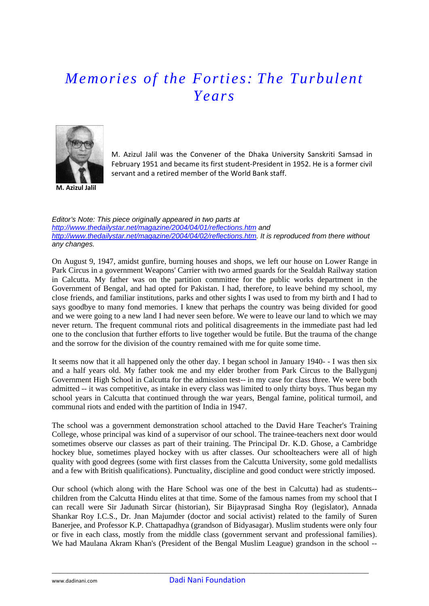## *Memories of the Forties: The Turbulent Years*



M. Azizul Jalil was the Convener of the Dhaka University Sanskriti Samsad in February 1951 and became its first student‐President in 1952. He is a former civil servant and a retired member of the World Bank staff.

*Editor's Note: This piece originally appeared in two parts at <http://www.thedailystar.net/magazine/2004/04/01/reflections.htm>and [http://www.thedailystar.net/magazine/2004/04/02/reflections.htm.](http://www.thedailystar.net/magazine/2004/04/02/reflections.htm) It is reproduced from there without any changes.* 

On August 9, 1947, amidst gunfire, burning houses and shops, we left our house on Lower Range in Park Circus in a government Weapons' Carrier with two armed guards for the Sealdah Railway station in Calcutta. My father was on the partition committee for the public works department in the Government of Bengal, and had opted for Pakistan. I had, therefore, to leave behind my school, my close friends, and familiar institutions, parks and other sights I was used to from my birth and I had to says goodbye to many fond memories. I knew that perhaps the country was being divided for good and we were going to a new land I had never seen before. We were to leave our land to which we may never return. The frequent communal riots and political disagreements in the immediate past had led one to the conclusion that further efforts to live together would be futile. But the trauma of the change and the sorrow for the division of the country remained with me for quite some time.

It seems now that it all happened only the other day. I began school in January 1940- - I was then six and a half years old. My father took me and my elder brother from Park Circus to the Ballygunj Government High School in Calcutta for the admission test-- in my case for class three. We were both admitted -- it was competitive, as intake in every class was limited to only thirty boys. Thus began my school years in Calcutta that continued through the war years, Bengal famine, political turmoil, and communal riots and ended with the partition of India in 1947.

The school was a government demonstration school attached to the David Hare Teacher's Training College, whose principal was kind of a supervisor of our school. The trainee-teachers next door would sometimes observe our classes as part of their training. The Principal Dr. K.D. Ghose, a Cambridge hockey blue, sometimes played hockey with us after classes. Our schoolteachers were all of high quality with good degrees (some with first classes from the Calcutta University, some gold medallists and a few with British qualifications). Punctuality, discipline and good conduct were strictly imposed.

Our school (which along with the Hare School was one of the best in Calcutta) had as students- children from the Calcutta Hindu elites at that time. Some of the famous names from my school that I can recall were Sir Jadunath Sircar (historian), Sir Bijayprasad Singha Roy (legislator), Annada Shankar Roy I.C.S., Dr. Jnan Majumder (doctor and social activist) related to the family of Suren Banerjee, and Professor K.P. Chattapadhya (grandson of Bidyasagar). Muslim students were only four or five in each class, mostly from the middle class (government servant and professional families). We had Maulana Akram Khan's (President of the Bengal Muslim League) grandson in the school --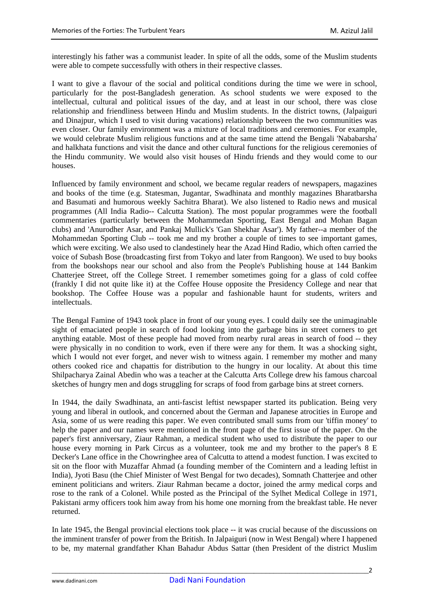interestingly his father was a communist leader. In spite of all the odds, some of the Muslim students were able to compete successfully with others in their respective classes.

I want to give a flavour of the social and political conditions during the time we were in school, particularly for the post-Bangladesh generation. As school students we were exposed to the intellectual, cultural and political issues of the day, and at least in our school, there was close relationship and friendliness between Hindu and Muslim students. In the district towns, (Jalpaiguri and Dinajpur, which I used to visit during vacations) relationship between the two communities was even closer. Our family environment was a mixture of local traditions and ceremonies. For example, we would celebrate Muslim religious functions and at the same time attend the Bengali 'Nababarsha' and halkhata functions and visit the dance and other cultural functions for the religious ceremonies of the Hindu community. We would also visit houses of Hindu friends and they would come to our houses.

Influenced by family environment and school, we became regular readers of newspapers, magazines and books of the time (e.g. Statesman, Jugantar, Swadhinata and monthly magazines Bharatbarsha and Basumati and humorous weekly Sachitra Bharat). We also listened to Radio news and musical programmes (All India Radio-- Calcutta Station). The most popular programmes were the football commentaries (particularly between the Mohammedan Sporting, East Bengal and Mohan Bagan clubs) and 'Anurodher Asar, and Pankaj Mullick's 'Gan Shekhar Asar'). My father--a member of the Mohammedan Sporting Club -- took me and my brother a couple of times to see important games, which were exciting. We also used to clandestinely hear the Azad Hind Radio, which often carried the voice of Subash Bose (broadcasting first from Tokyo and later from Rangoon). We used to buy books from the bookshops near our school and also from the People's Publishing house at 144 Bankim Chatterjee Street, off the College Street. I remember sometimes going for a glass of cold coffee (frankly I did not quite like it) at the Coffee House opposite the Presidency College and near that bookshop. The Coffee House was a popular and fashionable haunt for students, writers and intellectuals.

The Bengal Famine of 1943 took place in front of our young eyes. I could daily see the unimaginable sight of emaciated people in search of food looking into the garbage bins in street corners to get anything eatable. Most of these people had moved from nearby rural areas in search of food -- they were physically in no condition to work, even if there were any for them. It was a shocking sight, which I would not ever forget, and never wish to witness again. I remember my mother and many others cooked rice and chapattis for distribution to the hungry in our locality. At about this time Shilpacharya Zainal Abedin who was a teacher at the Calcutta Arts College drew his famous charcoal sketches of hungry men and dogs struggling for scraps of food from garbage bins at street corners.

In 1944, the daily Swadhinata, an anti-fascist leftist newspaper started its publication. Being very young and liberal in outlook, and concerned about the German and Japanese atrocities in Europe and Asia, some of us were reading this paper. We even contributed small sums from our 'tiffin money' to help the paper and our names were mentioned in the front page of the first issue of the paper. On the paper's first anniversary, Ziaur Rahman, a medical student who used to distribute the paper to our house every morning in Park Circus as a volunteer, took me and my brother to the paper's 8 E Decker's Lane office in the Chowringhee area of Calcutta to attend a modest function. I was excited to sit on the floor with Muzaffar Ahmad (a founding member of the Comintern and a leading leftist in India), Jyoti Basu (the Chief Minister of West Bengal for two decades), Somnath Chatterjee and other eminent politicians and writers. Ziaur Rahman became a doctor, joined the army medical corps and rose to the rank of a Colonel. While posted as the Principal of the Sylhet Medical College in 1971, Pakistani army officers took him away from his home one morning from the breakfast table. He never returned.

In late 1945, the Bengal provincial elections took place -- it was crucial because of the discussions on the imminent transfer of power from the British. In Jalpaiguri (now in West Bengal) where I happened to be, my maternal grandfather Khan Bahadur Abdus Sattar (then President of the district Muslim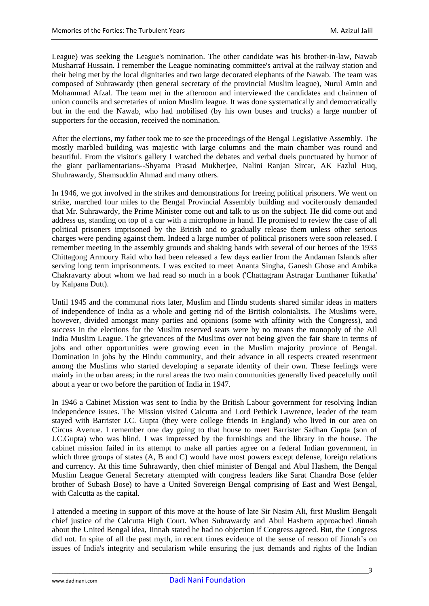League) was seeking the League's nomination. The other candidate was his brother-in-law, Nawab Musharraf Hussain. I remember the League nominating committee's arrival at the railway station and their being met by the local dignitaries and two large decorated elephants of the Nawab. The team was composed of Suhrawardy (then general secretary of the provincial Muslim league), Nurul Amin and Mohammad Afzal. The team met in the afternoon and interviewed the candidates and chairmen of union councils and secretaries of union Muslim league. It was done systematically and democratically but in the end the Nawab, who had mobilised (by his own buses and trucks) a large number of supporters for the occasion, received the nomination.

After the elections, my father took me to see the proceedings of the Bengal Legislative Assembly. The mostly marbled building was majestic with large columns and the main chamber was round and beautiful. From the visitor's gallery I watched the debates and verbal duels punctuated by humor of the giant parliamentarians--Shyama Prasad Mukherjee, Nalini Ranjan Sircar, AK Fazlul Huq, Shuhrawardy, Shamsuddin Ahmad and many others.

In 1946, we got involved in the strikes and demonstrations for freeing political prisoners. We went on strike, marched four miles to the Bengal Provincial Assembly building and vociferously demanded that Mr. Suhrawardy, the Prime Minister come out and talk to us on the subject. He did come out and address us, standing on top of a car with a microphone in hand. He promised to review the case of all political prisoners imprisoned by the British and to gradually release them unless other serious charges were pending against them. Indeed a large number of political prisoners were soon released. I remember meeting in the assembly grounds and shaking hands with several of our heroes of the 1933 Chittagong Armoury Raid who had been released a few days earlier from the Andaman Islands after serving long term imprisonments. I was excited to meet Ananta Singha, Ganesh Ghose and Ambika Chakravarty about whom we had read so much in a book ('Chattagram Astragar Lunthaner Itikatha' by Kalpana Dutt).

Until 1945 and the communal riots later, Muslim and Hindu students shared similar ideas in matters of independence of India as a whole and getting rid of the British colonialists. The Muslims were, however, divided amongst many parties and opinions (some with affinity with the Congress), and success in the elections for the Muslim reserved seats were by no means the monopoly of the All India Muslim League. The grievances of the Muslims over not being given the fair share in terms of jobs and other opportunities were growing even in the Muslim majority province of Bengal. Domination in jobs by the Hindu community, and their advance in all respects created resentment among the Muslims who started developing a separate identity of their own. These feelings were mainly in the urban areas; in the rural areas the two main communities generally lived peacefully until about a year or two before the partition of India in 1947.

In 1946 a Cabinet Mission was sent to India by the British Labour government for resolving Indian independence issues. The Mission visited Calcutta and Lord Pethick Lawrence, leader of the team stayed with Barrister J.C. Gupta (they were college friends in England) who lived in our area on Circus Avenue. I remember one day going to that house to meet Barrister Sadhan Gupta (son of J.C.Gupta) who was blind. I was impressed by the furnishings and the library in the house. The cabinet mission failed in its attempt to make all parties agree on a federal Indian government, in which three groups of states (A, B and C) would have most powers except defense, foreign relations and currency. At this time Suhrawardy, then chief minister of Bengal and Abul Hashem, the Bengal Muslim League General Secretary attempted with congress leaders like Sarat Chandra Bose (elder brother of Subash Bose) to have a United Sovereign Bengal comprising of East and West Bengal, with Calcutta as the capital.

I attended a meeting in support of this move at the house of late Sir Nasim Ali, first Muslim Bengali chief justice of the Calcutta High Court. When Suhrawardy and Abul Hashem approached Jinnah about the United Bengal idea, Jinnah stated he had no objection if Congress agreed. But, the Congress did not. In spite of all the past myth, in recent times evidence of the sense of reason of Jinnah's on issues of India's integrity and secularism while ensuring the just demands and rights of the Indian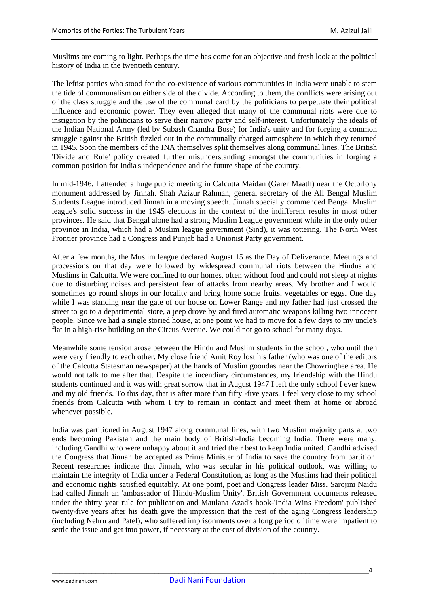Muslims are coming to light. Perhaps the time has come for an objective and fresh look at the political history of India in the twentieth century.

The leftist parties who stood for the co-existence of various communities in India were unable to stem the tide of communalism on either side of the divide. According to them, the conflicts were arising out of the class struggle and the use of the communal card by the politicians to perpetuate their political influence and economic power. They even alleged that many of the communal riots were due to instigation by the politicians to serve their narrow party and self-interest. Unfortunately the ideals of the Indian National Army (led by Subash Chandra Bose) for India's unity and for forging a common struggle against the British fizzled out in the communally charged atmosphere in which they returned in 1945. Soon the members of the INA themselves split themselves along communal lines. The British 'Divide and Rule' policy created further misunderstanding amongst the communities in forging a common position for India's independence and the future shape of the country.

In mid-1946, I attended a huge public meeting in Calcutta Maidan (Garer Maath) near the Octorlony monument addressed by Jinnah. Shah Azizur Rahman, general secretary of the All Bengal Muslim Students League introduced Jinnah in a moving speech. Jinnah specially commended Bengal Muslim league's solid success in the 1945 elections in the context of the indifferent results in most other provinces. He said that Bengal alone had a strong Muslim League government while in the only other province in India, which had a Muslim league government (Sind), it was tottering. The North West Frontier province had a Congress and Punjab had a Unionist Party government.

After a few months, the Muslim league declared August 15 as the Day of Deliverance. Meetings and processions on that day were followed by widespread communal riots between the Hindus and Muslims in Calcutta. We were confined to our homes, often without food and could not sleep at nights due to disturbing noises and persistent fear of attacks from nearby areas. My brother and I would sometimes go round shops in our locality and bring home some fruits, vegetables or eggs. One day while I was standing near the gate of our house on Lower Range and my father had just crossed the street to go to a departmental store, a jeep drove by and fired automatic weapons killing two innocent people. Since we had a single storied house, at one point we had to move for a few days to my uncle's flat in a high-rise building on the Circus Avenue. We could not go to school for many days.

Meanwhile some tension arose between the Hindu and Muslim students in the school, who until then were very friendly to each other. My close friend Amit Roy lost his father (who was one of the editors of the Calcutta Statesman newspaper) at the hands of Muslim goondas near the Chowringhee area. He would not talk to me after that. Despite the incendiary circumstances, my friendship with the Hindu students continued and it was with great sorrow that in August 1947 I left the only school I ever knew and my old friends. To this day, that is after more than fifty -five years, I feel very close to my school friends from Calcutta with whom I try to remain in contact and meet them at home or abroad whenever possible.

India was partitioned in August 1947 along communal lines, with two Muslim majority parts at two ends becoming Pakistan and the main body of British-India becoming India. There were many, including Gandhi who were unhappy about it and tried their best to keep India united. Gandhi advised the Congress that Jinnah be accepted as Prime Minister of India to save the country from partition. Recent researches indicate that Jinnah, who was secular in his political outlook, was willing to maintain the integrity of India under a Federal Constitution, as long as the Muslims had their political and economic rights satisfied equitably. At one point, poet and Congress leader Miss. Sarojini Naidu had called Jinnah an 'ambassador of Hindu-Muslim Unity'. British Government documents released under the thirty year rule for publication and Maulana Azad's book-'India Wins Freedom' published twenty-five years after his death give the impression that the rest of the aging Congress leadership (including Nehru and Patel), who suffered imprisonments over a long period of time were impatient to settle the issue and get into power, if necessary at the cost of division of the country.